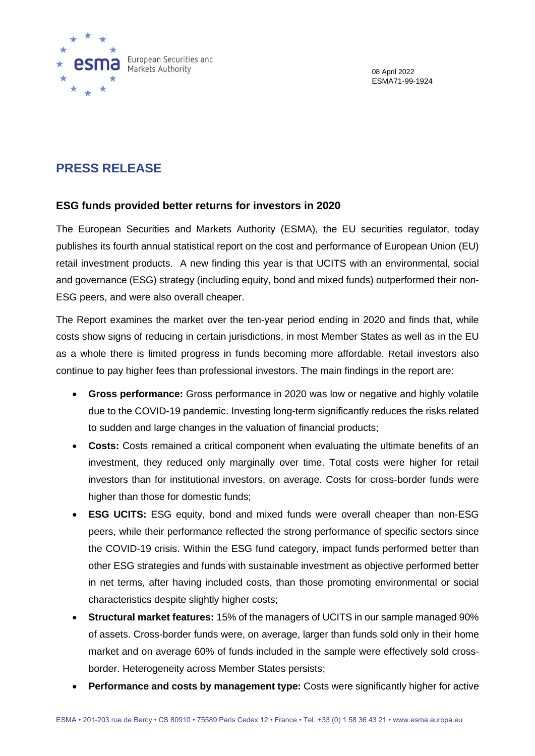

08 April 2022 ESMA71-99-1924

## **PRESS RELEASE**

## **ESG funds provided better returns for investors in 2020**

The European Securities and Markets Authority (ESMA), the EU securities regulator, today publishes its fourth annual statistical report on the cost and performance of European Union (EU) retail investment products. A new finding this year is that UCITS with an environmental, social and governance (ESG) strategy (including equity, bond and mixed funds) outperformed their non-ESG peers, and were also overall cheaper.

The Report examines the market over the ten-year period ending in 2020 and finds that, while costs show signs of reducing in certain jurisdictions, in most Member States as well as in the EU as a whole there is limited progress in funds becoming more affordable. Retail investors also continue to pay higher fees than professional investors. The main findings in the report are:

- **Gross performance:** Gross performance in 2020 was low or negative and highly volatile due to the COVID-19 pandemic. Investing long-term significantly reduces the risks related to sudden and large changes in the valuation of financial products;
- **Costs:** Costs remained a critical component when evaluating the ultimate benefits of an investment, they reduced only marginally over time. Total costs were higher for retail investors than for institutional investors, on average. Costs for cross-border funds were higher than those for domestic funds;
- **ESG UCITS:** ESG equity, bond and mixed funds were overall cheaper than non-ESG peers, while their performance reflected the strong performance of specific sectors since the COVID-19 crisis. Within the ESG fund category, impact funds performed better than other ESG strategies and funds with sustainable investment as objective performed better in net terms, after having included costs, than those promoting environmental or social characteristics despite slightly higher costs;
- **Structural market features:** 15% of the managers of UCITS in our sample managed 90% of assets. Cross-border funds were, on average, larger than funds sold only in their home market and on average 60% of funds included in the sample were effectively sold crossborder. Heterogeneity across Member States persists;
- **Performance and costs by management type:** Costs were significantly higher for active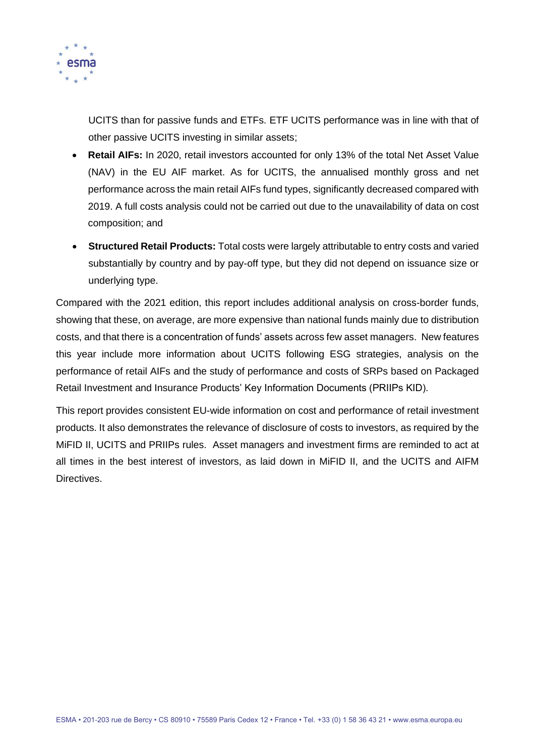

UCITS than for passive funds and ETFs. ETF UCITS performance was in line with that of other passive UCITS investing in similar assets;

- **Retail AIFs:** In 2020, retail investors accounted for only 13% of the total Net Asset Value (NAV) in the EU AIF market. As for UCITS, the annualised monthly gross and net performance across the main retail AIFs fund types, significantly decreased compared with 2019. A full costs analysis could not be carried out due to the unavailability of data on cost composition; and
- **Structured Retail Products:** Total costs were largely attributable to entry costs and varied substantially by country and by pay-off type, but they did not depend on issuance size or underlying type.

Compared with the 2021 edition, this report includes additional analysis on cross-border funds, showing that these, on average, are more expensive than national funds mainly due to distribution costs, and that there is a concentration of funds' assets across few asset managers. New features this year include more information about UCITS following ESG strategies, analysis on the performance of retail AIFs and the study of performance and costs of SRPs based on Packaged Retail Investment and Insurance Products' Key Information Documents (PRIIPs KID).

This report provides consistent EU-wide information on cost and performance of retail investment products. It also demonstrates the relevance of disclosure of costs to investors, as required by the MiFID II, UCITS and PRIIPs rules. Asset managers and investment firms are reminded to act at all times in the best interest of investors, as laid down in MiFID II, and the UCITS and AIFM Directives.